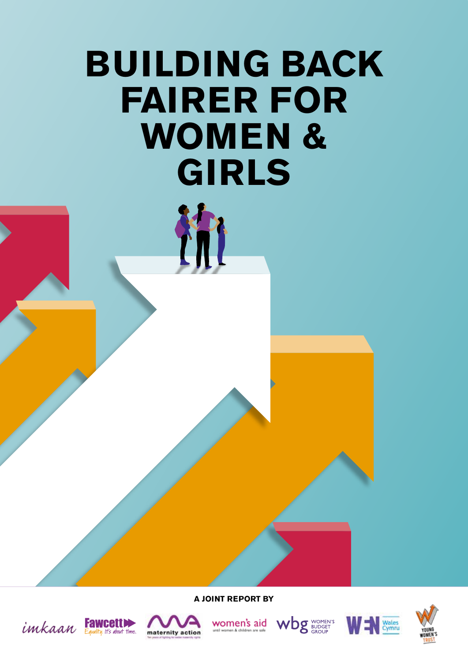# **BUILDING BACK FAIRER FOR WOMEN & GIRLS**

冷

**A JOINT REPORT BY**











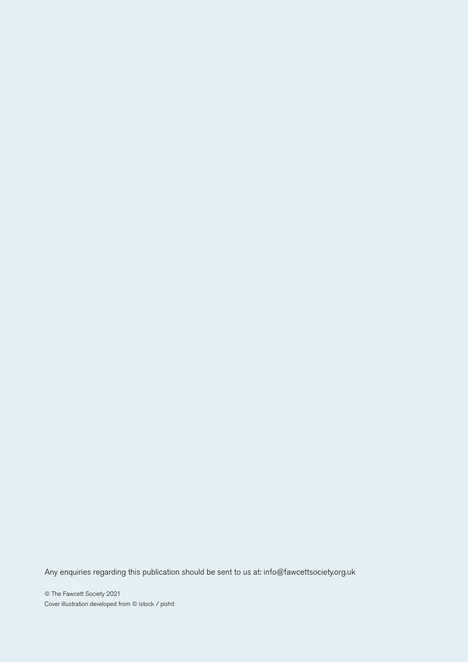Any enquiries regarding this publication should be sent to us at: info@fawcettsociety.org.uk

© The Fawcett Society 2021 Cover illustration developed from © istock / pishit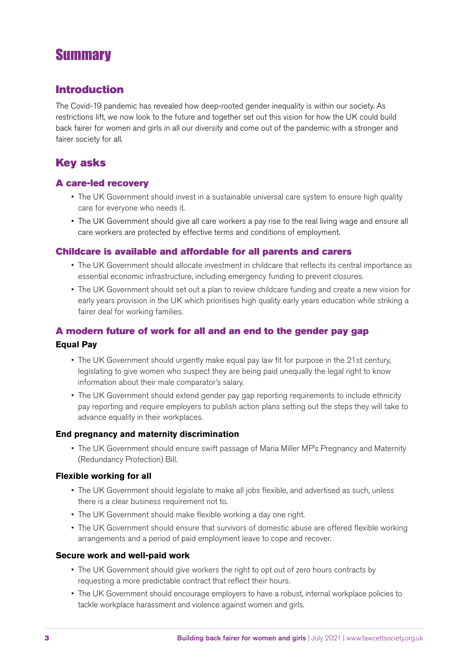# **Summary**

### Introduction

The Covid-19 pandemic has revealed how deep-rooted gender inequality is within our society. As restrictions lift, we now look to the future and together set out this vision for how the UK could build back fairer for women and girls in all our diversity and come out of the pandemic with a stronger and fairer society for all.

### Key asks

### A care-led recovery

- The UK Government should invest in a sustainable universal care system to ensure high quality care for everyone who needs it.
- The UK Government should give all care workers a pay rise to the real living wage and ensure all care workers are protected by effective terms and conditions of employment.

### Childcare is available and affordable for all parents and carers

- The UK Government should allocate investment in childcare that reflects its central importance as essential economic infrastructure, including emergency funding to prevent closures.
- The UK Government should set out a plan to review childcare funding and create a new vision for early years provision in the UK which prioritises high quality early years education while striking a fairer deal for working families.

### A modern future of work for all and an end to the gender pay gap **Equal Pay**

- The UK Government should urgently make equal pay law fit for purpose in the 21st century, legislating to give women who suspect they are being paid unequally the legal right to know information about their male comparator's salary.
- The UK Government should extend gender pay gap reporting requirements to include ethnicity pay reporting and require employers to publish action plans setting out the steps they will take to advance equality in their workplaces.

### **End pregnancy and maternity discrimination**

• The UK Government should ensure swift passage of Maria Miller MP's Pregnancy and Maternity (Redundancy Protection) Bill.

### **Flexible working for all**

- The UK Government should legislate to make all jobs flexible, and advertised as such, unless there is a clear business requirement not to.
- The UK Government should make flexible working a day one right.
- The UK Government should ensure that survivors of domestic abuse are offered flexible working arrangements and a period of paid employment leave to cope and recover.

#### **Secure work and well-paid work**

- The UK Government should give workers the right to opt out of zero hours contracts by requesting a more predictable contract that reflect their hours.
- The UK Government should encourage employers to have a robust, internal workplace policies to tackle workplace harassment and violence against women and girls.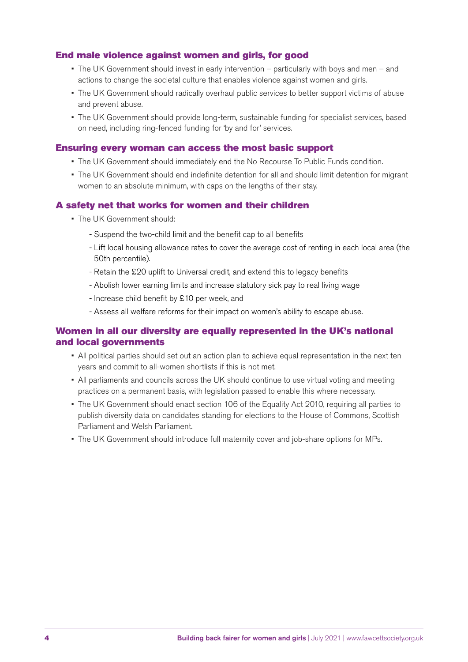### End male violence against women and girls, for good

- The UK Government should invest in early intervention particularly with boys and men and actions to change the societal culture that enables violence against women and girls.
- The UK Government should radically overhaul public services to better support victims of abuse and prevent abuse.
- The UK Government should provide long-term, sustainable funding for specialist services, based on need, including ring-fenced funding for 'by and for' services.

#### Ensuring every woman can access the most basic support

- The UK Government should immediately end the No Recourse To Public Funds condition.
- The UK Government should end indefinite detention for all and should limit detention for migrant women to an absolute minimum, with caps on the lengths of their stay.

#### A safety net that works for women and their children

- The UK Government should:
	- Suspend the two-child limit and the benefit cap to all benefits
	- Lift local housing allowance rates to cover the average cost of renting in each local area (the 50th percentile).
	- Retain the £20 uplift to Universal credit, and extend this to legacy benefits
	- Abolish lower earning limits and increase statutory sick pay to real living wage
	- Increase child benefit by £10 per week, and
	- Assess all welfare reforms for their impact on women's ability to escape abuse.

### Women in all our diversity are equally represented in the UK's national and local governments

- All political parties should set out an action plan to achieve equal representation in the next ten years and commit to all-women shortlists if this is not met.
- All parliaments and councils across the UK should continue to use virtual voting and meeting practices on a permanent basis, with legislation passed to enable this where necessary.
- The UK Government should enact section 106 of the Equality Act 2010, requiring all parties to publish diversity data on candidates standing for elections to the House of Commons, Scottish Parliament and Welsh Parliament.
- The UK Government should introduce full maternity cover and job-share options for MPs.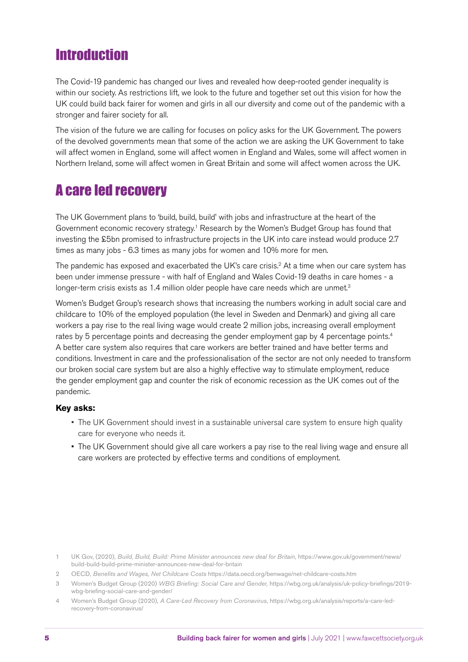# **Introduction**

The Covid-19 pandemic has changed our lives and revealed how deep-rooted gender inequality is within our society. As restrictions lift, we look to the future and together set out this vision for how the UK could build back fairer for women and girls in all our diversity and come out of the pandemic with a stronger and fairer society for all.

The vision of the future we are calling for focuses on policy asks for the UK Government. The powers of the devolved governments mean that some of the action we are asking the UK Government to take will affect women in England, some will affect women in England and Wales, some will affect women in Northern Ireland, some will affect women in Great Britain and some will affect women across the UK.

# A care led recovery

The UK Government plans to 'build, build, build' with jobs and infrastructure at the heart of the Government economic recovery strategy.1 Research by the Women's Budget Group has found that investing the £5bn promised to infrastructure projects in the UK into care instead would produce 2.7 times as many jobs - 6.3 times as many jobs for women and 10% more for men.

The pandemic has exposed and exacerbated the UK's care crisis. $<sup>2</sup>$  At a time when our care system has</sup> been under immense pressure - with half of England and Wales Covid-19 deaths in care homes - a longer-term crisis exists as 1.4 million older people have care needs which are unmet.<sup>3</sup>

Women's Budget Group's research shows that increasing the numbers working in adult social care and childcare to 10% of the employed population (the level in Sweden and Denmark) and giving all care workers a pay rise to the real living wage would create 2 million jobs, increasing overall employment rates by 5 percentage points and decreasing the gender employment gap by 4 percentage points.<sup>4</sup> A better care system also requires that care workers are better trained and have better terms and conditions. Investment in care and the professionalisation of the sector are not only needed to transform our broken social care system but are also a highly effective way to stimulate employment, reduce the gender employment gap and counter the risk of economic recession as the UK comes out of the pandemic.

### **Key asks:**

- The UK Government should invest in a sustainable universal care system to ensure high quality care for everyone who needs it.
- The UK Government should give all care workers a pay rise to the real living wage and ensure all care workers are protected by effective terms and conditions of employment.

<sup>1</sup> UK Gov, (2020), *Build, Build, Build: Prime Minister announces new deal for Britain*, [https://www.gov.uk/government/news/](https://www.gov.uk/government/news/build-build-build-prime-minister-announces-new-deal-for-britain) [build-build-build-prime-minister-announces-new-deal-for-britain](https://www.gov.uk/government/news/build-build-build-prime-minister-announces-new-deal-for-britain)

<sup>2</sup> OECD, *Benefits and Wages, Net Childcare Costs* <https://data.oecd.org/benwage/net-childcare-costs.htm>

<sup>3</sup> Women's Budget Group (2020) *WBG Briefing: Social Care and Gender,* [https://wbg.org.uk/analysis/uk-policy-briefings/2019](https://wbg.org.uk/analysis/uk-policy-briefings/2019-wbg-briefing-social-care-and-gender/) [wbg-briefing-social-care-and-gender/](https://wbg.org.uk/analysis/uk-policy-briefings/2019-wbg-briefing-social-care-and-gender/)

<sup>4</sup> Women's Budget Group (2020), *A Care-Led Recovery from Coronavirus*, [https://wbg.org.uk/analysis/reports/a-care-led](https://wbg.org.uk/analysis/reports/a-care-led-recovery-from-coronavirus/)[recovery-from-coronavirus/](https://wbg.org.uk/analysis/reports/a-care-led-recovery-from-coronavirus/)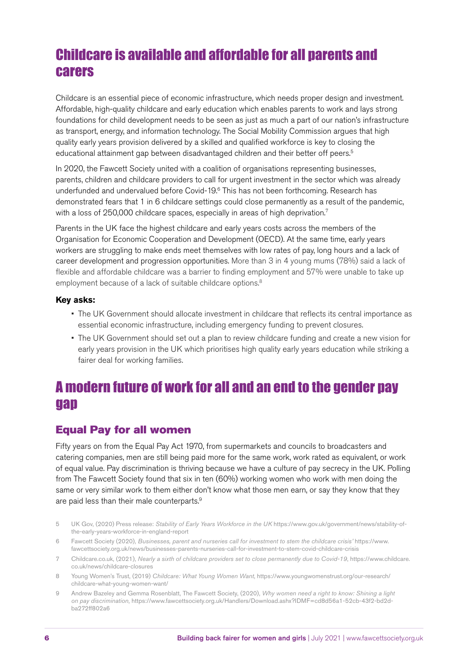# Childcare is available and affordable for all parents and carers

Childcare is an essential piece of economic infrastructure, which needs proper design and investment. Affordable, high-quality childcare and early education which enables parents to work and lays strong foundations for child development needs to be seen as just as much a part of our nation's infrastructure as transport, energy, and information technology. The Social Mobility Commission argues that high quality early years provision delivered by a skilled and qualified workforce is key to closing the educational attainment gap between disadvantaged children and their better off peers.<sup>5</sup>

In 2020, the Fawcett Society united with a coalition of organisations representing businesses, parents, children and childcare providers to call for urgent investment in the sector which was already underfunded and undervalued before Covid-19.6 This has not been forthcoming. Research has demonstrated fears that 1 in 6 childcare settings could close permanently as a result of the pandemic, with a loss of 250,000 childcare spaces, especially in areas of high deprivation.<sup>7</sup>

Parents in the UK face the highest childcare and early years costs across the members of the Organisation for Economic Cooperation and Development (OECD). At the same time, early years workers are struggling to make ends meet themselves with low rates of pay, long hours and a lack of career development and progression opportunities. More than 3 in 4 young mums (78%) said a lack of flexible and affordable childcare was a barrier to finding employment and 57% were unable to take up employment because of a lack of suitable childcare options.<sup>8</sup>

### **Key asks:**

- The UK Government should allocate investment in childcare that reflects its central importance as essential economic infrastructure, including emergency funding to prevent closures.
- The UK Government should set out a plan to review childcare funding and create a new vision for early years provision in the UK which prioritises high quality early years education while striking a fairer deal for working families.

# A modern future of work for all and an end to the gender pay gap

### Equal Pay for all women

Fifty years on from the Equal Pay Act 1970, from supermarkets and councils to broadcasters and catering companies, men are still being paid more for the same work, work rated as equivalent, or work of equal value. Pay discrimination is thriving because we have a culture of pay secrecy in the UK. Polling from The Fawcett Society found that six in ten (60%) working women who work with men doing the same or very similar work to them either don't know what those men earn, or say they know that they are paid less than their male counterparts.<sup>9</sup>

- 5 UK Gov, (2020) Press release: *Stability of Early Years Workforce in the UK* [https://www.gov.uk/government/news/stability-of](https://www.gov.uk/government/news/stability-of-the-early-years-workforce-in-england-report)[the-early-years-workforce-in-england-report](https://www.gov.uk/government/news/stability-of-the-early-years-workforce-in-england-report)
- 6 Fawcett Society (2020), *Businesses, parent and nurseries call for investment to stem the childcare crisis'* [https://www.](https://www.fawcettsociety.org.uk/news/businesses-parents-nurseries-call-for-investment-to-stem-covid-childcare-crisis) [fawcettsociety.org.uk/news/businesses-parents-nurseries-call-for-investment-to-stem-covid-childcare-crisis](https://www.fawcettsociety.org.uk/news/businesses-parents-nurseries-call-for-investment-to-stem-covid-childcare-crisis)
- 7 Childcare.co.uk, (2021), *Nearly a sixth of childcare providers set to close permanently due to Covid-19*, [https://www.childcare.](https://www.childcare.co.uk/news/childcare-closures) [co.uk/news/childcare-closures](https://www.childcare.co.uk/news/childcare-closures)
- 8 Young Women's Trust, (2019) *Childcare: What Young Women Want*, [https://www.youngwomenstrust.org/our-research/](https://www.youngwomenstrust.org/our-research/childcare-what-young-women-want/) [childcare-what-young-women-want/](https://www.youngwomenstrust.org/our-research/childcare-what-young-women-want/)
- 9 Andrew Bazeley and Gemma Rosenblatt, The Fawcett Society, (2020), *Why women need a right to know: Shining a light on pay discrimination*, [https://www.fawcettsociety.org.uk/Handlers/Download.ashx?IDMF=cd8d56a1-52cb-43f2-bd2d](https://www.fawcettsociety.org.uk/Handlers/Download.ashx?IDMF=cd8d56a1-52cb-43f2-bd2d-ba272ff802a6)[ba272ff802a6](https://www.fawcettsociety.org.uk/Handlers/Download.ashx?IDMF=cd8d56a1-52cb-43f2-bd2d-ba272ff802a6)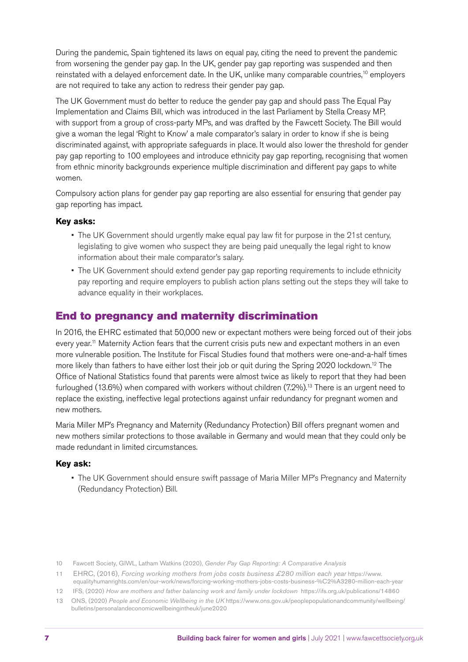During the pandemic, Spain tightened its laws on equal pay, citing the need to prevent the pandemic from worsening the gender pay gap. In the UK, gender pay gap reporting was suspended and then reinstated with a delayed enforcement date. In the UK, unlike many comparable countries,<sup>10</sup> employers are not required to take any action to redress their gender pay gap.

The UK Government must do better to reduce the gender pay gap and should pass The Equal Pay Implementation and Claims Bill, which was introduced in the last Parliament by Stella Creasy MP, with support from a group of cross-party MPs, and was drafted by the Fawcett Society. The Bill would give a woman the legal 'Right to Know' a male comparator's salary in order to know if she is being discriminated against, with appropriate safeguards in place. It would also lower the threshold for gender pay gap reporting to 100 employees and introduce ethnicity pay gap reporting, recognising that women from ethnic minority backgrounds experience multiple discrimination and different pay gaps to white women.

Compulsory action plans for gender pay gap reporting are also essential for ensuring that gender pay gap reporting has impact.

### **Key asks:**

- The UK Government should urgently make equal pay law fit for purpose in the 21st century, legislating to give women who suspect they are being paid unequally the legal right to know information about their male comparator's salary.
- The UK Government should extend gender pay gap reporting requirements to include ethnicity pay reporting and require employers to publish action plans setting out the steps they will take to advance equality in their workplaces.

### End to pregnancy and maternity discrimination

In 2016, the EHRC estimated that 50,000 new or expectant mothers were being forced out of their jobs every year.<sup>11</sup> Maternity Action fears that the current crisis puts new and expectant mothers in an even more vulnerable position. The Institute for Fiscal Studies found that mothers were one-and-a-half times more likely than fathers to have either lost their job or quit during the Spring 2020 lockdown.<sup>12</sup> The Office of National Statistics found that parents were almost twice as likely to report that they had been furloughed (13.6%) when compared with workers without children (7.2%).<sup>13</sup> There is an urgent need to replace the existing, ineffective legal protections against unfair redundancy for pregnant women and new mothers.

Maria Miller MP's Pregnancy and Maternity (Redundancy Protection) Bill offers pregnant women and new mothers similar protections to those available in Germany and would mean that they could only be made redundant in limited circumstances.

### **Key ask:**

- The UK Government should ensure swift passage of Maria Miller MP's Pregnancy and Maternity (Redundancy Protection) Bill.
- 10 Fawcett Society, GIWL, Latham Watkins (2020), *Gender Pay Gap Reporting: A Comparative Analysis*
- 11 EHRC, (2016), *Forcing working mothers from jobs costs business £280 million each year* [https://www.](https://www.equalityhumanrights.com/en/our-work/news/forcing-working-mothers-jobs-costs-business-%C2%A3280-million-each-year) [equalityhumanrights.com/en/our-work/news/forcing-working-mothers-jobs-costs-business-%C2%A3280-million-each-year](https://www.equalityhumanrights.com/en/our-work/news/forcing-working-mothers-jobs-costs-business-%C2%A3280-million-each-year)
- 12 IFS, (2020) *How are mothers and father balancing work and family under lockdown* <https://ifs.org.uk/publications/14860> 13 ONS, (2020) *People and Economic Wellbeing in the UK* [https://www.ons.gov.uk/peoplepopulationandcommunity/wellbeing/](https://www.ons.gov.uk/peoplepopulationandcommunity/wellbeing/bulletins/personalandeconomicwellbeingintheuk/june2020)
- [bulletins/personalandeconomicwellbeingintheuk/june2020](https://www.ons.gov.uk/peoplepopulationandcommunity/wellbeing/bulletins/personalandeconomicwellbeingintheuk/june2020)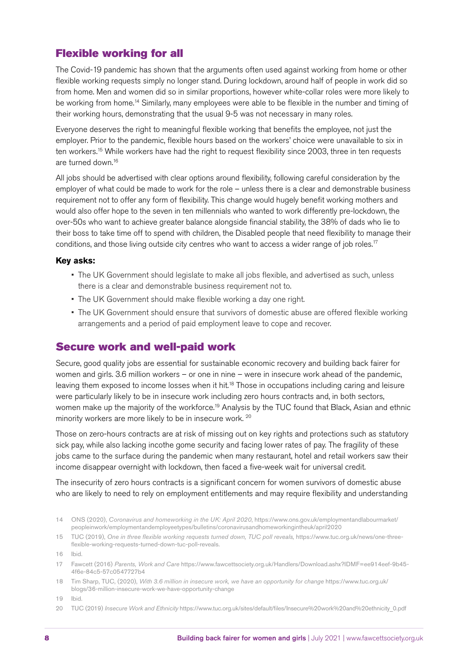### Flexible working for all

The Covid-19 pandemic has shown that the arguments often used against working from home or other flexible working requests simply no longer stand. During lockdown, around half of people in work did so from home. Men and women did so in similar proportions, however white-collar roles were more likely to be working from home.<sup>14</sup> Similarly, many employees were able to be flexible in the number and timing of their working hours, demonstrating that the usual 9-5 was not necessary in many roles.

Everyone deserves the right to meaningful flexible working that benefits the employee, not just the employer. Prior to the pandemic, flexible hours based on the workers' choice were unavailable to six in ten workers.<sup>15</sup> While workers have had the right to request flexibility since 2003, three in ten requests are turned down.16

All jobs should be advertised with clear options around flexibility, following careful consideration by the employer of what could be made to work for the role – unless there is a clear and demonstrable business requirement not to offer any form of flexibility. This change would hugely benefit working mothers and would also offer hope to the seven in ten millennials who wanted to work differently pre-lockdown, the over-50s who want to achieve greater balance alongside financial stability, the 38% of dads who lie to their boss to take time off to spend with children, the Disabled people that need flexibility to manage their conditions, and those living outside city centres who want to access a wider range of job roles.<sup>17</sup>

### **Key asks:**

- The UK Government should legislate to make all jobs flexible, and advertised as such, unless there is a clear and demonstrable business requirement not to.
- The UK Government should make flexible working a day one right.
- The UK Government should ensure that survivors of domestic abuse are offered flexible working arrangements and a period of paid employment leave to cope and recover.

### Secure work and well-paid work

Secure, good quality jobs are essential for sustainable economic recovery and building back fairer for women and girls. 3.6 million workers – or one in nine – were in insecure work ahead of the pandemic, leaving them exposed to income losses when it hit.<sup>18</sup> Those in occupations including caring and leisure were particularly likely to be in insecure work including zero hours contracts and, in both sectors, women make up the majority of the workforce.<sup>19</sup> Analysis by the TUC found that Black, Asian and ethnic minority workers are more likely to be in insecure work. <sup>20</sup>

Those on zero-hours contracts are at risk of missing out on key rights and protections such as statutory sick pay, while also lacking incothe gome security and facing lower rates of pay. The fragility of these jobs came to the surface during the pandemic when many restaurant, hotel and retail workers saw their income disappear overnight with lockdown, then faced a five-week wait for universal credit.

The insecurity of zero hours contracts is a significant concern for women survivors of domestic abuse who are likely to need to rely on employment entitlements and may require flexibility and understanding

19 Ibid.

20 TUC (2019) *Insecure Work and Ethnicity* [https://www.tuc.org.uk/sites/default/files/Insecure%20work%20and%20ethnicity\\_0.pdf](https://www.tuc.org.uk/sites/default/files/Insecure%20work%20and%20ethnicity_0.pdf)

<sup>14</sup> ONS (2020), *Coronavirus and homeworking in the UK: April 2020*, [https://www.ons.gov.uk/employmentandlabourmarket/](https://www.ons.gov.uk/employmentandlabourmarket/peopleinwork/employmentandemployeetypes/bulletins/coronavirusandhomeworkingintheuk/april2020) [peopleinwork/employmentandemployeetypes/bulletins/coronavirusandhomeworkingintheuk/april2020](https://www.ons.gov.uk/employmentandlabourmarket/peopleinwork/employmentandemployeetypes/bulletins/coronavirusandhomeworkingintheuk/april2020) 

<sup>15</sup> TUC (2019), *One in three flexible working requests turned down, TUC poll reveals,* [https://www.tuc.org.uk/news/one-three](https://www.tuc.org.uk/news/one-three-flexible-working-requests-turned-down-tuc-poll-reveals)[flexible-working-requests-turned-down-tuc-poll-reveals](https://www.tuc.org.uk/news/one-three-flexible-working-requests-turned-down-tuc-poll-reveals).

<sup>16</sup> Ibid.

<sup>17</sup> Fawcett (2016) *Parents, Work and Care* [https://www.fawcettsociety.org.uk/Handlers/Download.ashx?IDMF=ee914eef-9b45-](https://www.fawcettsociety.org.uk/Handlers/Download.ashx?IDMF=ee914eef-9b45-4f6e-84c5-57c0547727b4) [4f6e-84c5-57c0547727b4](https://www.fawcettsociety.org.uk/Handlers/Download.ashx?IDMF=ee914eef-9b45-4f6e-84c5-57c0547727b4) 

<sup>18</sup> Tim Sharp, TUC, (2020), *With 3.6 million in insecure work, we have an opportunity for change* [https://www.tuc.org.uk/](https://www.tuc.org.uk/blogs/36-million-insecure-work-we-have-opportunity-change) [blogs/36-million-insecure-work-we-have-opportunity-change](https://www.tuc.org.uk/blogs/36-million-insecure-work-we-have-opportunity-change)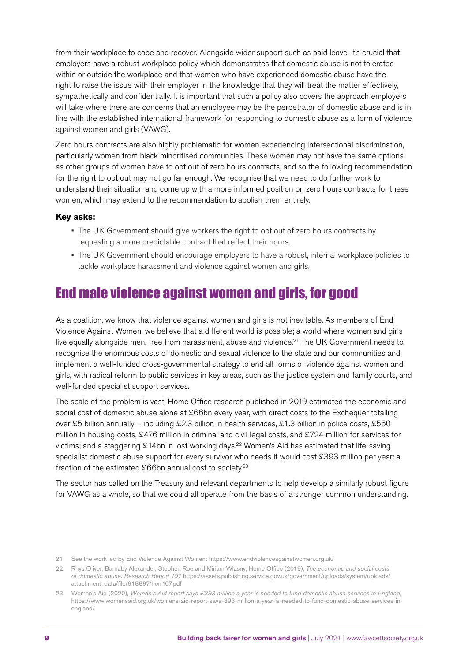from their workplace to cope and recover. Alongside wider support such as paid leave, it's crucial that employers have a robust workplace policy which demonstrates that domestic abuse is not tolerated within or outside the workplace and that women who have experienced domestic abuse have the right to raise the issue with their employer in the knowledge that they will treat the matter effectively, sympathetically and confidentially. It is important that such a policy also covers the approach employers will take where there are concerns that an employee may be the perpetrator of domestic abuse and is in line with the established international framework for responding to domestic abuse as a form of violence against women and girls (VAWG).

Zero hours contracts are also highly problematic for women experiencing intersectional discrimination, particularly women from black minoritised communities. These women may not have the same options as other groups of women have to opt out of zero hours contracts, and so the following recommendation for the right to opt out may not go far enough. We recognise that we need to do further work to understand their situation and come up with a more informed position on zero hours contracts for these women, which may extend to the recommendation to abolish them entirely.

### **Key asks:**

- The UK Government should give workers the right to opt out of zero hours contracts by requesting a more predictable contract that reflect their hours.
- The UK Government should encourage employers to have a robust, internal workplace policies to tackle workplace harassment and violence against women and girls.

# End male violence against women and girls, for good

As a coalition, we know that violence against women and girls is not inevitable. As members of End Violence Against Women, we believe that a different world is possible; a world where women and girls live equally alongside men, free from harassment, abuse and violence.<sup>21</sup> The UK Government needs to recognise the enormous costs of domestic and sexual violence to the state and our communities and implement a well-funded cross-governmental strategy to end all forms of violence against women and girls, with radical reform to public services in key areas, such as the justice system and family courts, and well-funded specialist support services.

The scale of the problem is vast. Home Office research published in 2019 estimated the economic and social cost of domestic abuse alone at £66bn every year, with direct costs to the Exchequer totalling over £5 billion annually – including £2.3 billion in health services, £1.3 billion in police costs, £550 million in housing costs, £476 million in criminal and civil legal costs, and £724 million for services for victims; and a staggering £14bn in lost working days.<sup>22</sup> Women's Aid has estimated that life-saving specialist domestic abuse support for every survivor who needs it would cost £393 million per year: a fraction of the estimated £66bn annual cost to society.<sup>23</sup>

The sector has called on the Treasury and relevant departments to help develop a similarly robust figure for VAWG as a whole, so that we could all operate from the basis of a stronger common understanding.

<sup>21</sup> See the work led by End Violence Against Women: <https://www.endviolenceagainstwomen.org.uk/>

<sup>22</sup> Rhys Oliver, Barnaby Alexander, Stephen Roe and Miriam Wlasny, Home Office (2019), *The economic and social costs of domestic abuse: Research Report 107* [https://assets.publishing.service.gov.uk/government/uploads/system/uploads/](https://assets.publishing.service.gov.uk/government/uploads/system/uploads/attachment_data/file/918897/horr107.pdf) [attachment\\_data/file/918897/horr107.pdf](https://assets.publishing.service.gov.uk/government/uploads/system/uploads/attachment_data/file/918897/horr107.pdf) 

<sup>23</sup> Women's Aid (2020), *Women's Aid report says £393 million a year is needed to fund domestic abuse services in England,* [https://www.womensaid.org.uk/womens-aid-report-says-393-million-a-year-is-needed-to-fund-domestic-abuse-services-in](https://www.womensaid.org.uk/womens-aid-report-says-393-million-a-year-is-needed-to-fund-domestic-abuse-services-in-england/)[england/](https://www.womensaid.org.uk/womens-aid-report-says-393-million-a-year-is-needed-to-fund-domestic-abuse-services-in-england/)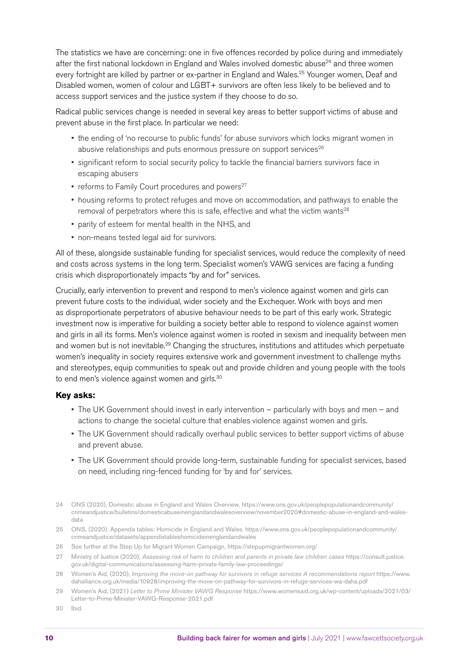The statistics we have are concerning: one in five offences recorded by police during and immediately after the first national lockdown in England and Wales involved domestic abuse<sup>24</sup> and three women every fortnight are killed by partner or ex-partner in England and Wales.<sup>25</sup> Younger women, Deaf and Disabled women, women of colour and LGBT+ survivors are often less likely to be believed and to access support services and the justice system if they choose to do so.

Radical public services change is needed in several key areas to better support victims of abuse and prevent abuse in the first place. In particular we need:

- the ending of 'no recourse to public funds' for abuse survivors which locks migrant women in abusive relationships and puts enormous pressure on support services<sup>26</sup>
- significant reform to social security policy to tackle the financial barriers survivors face in escaping abusers
- reforms to Family Court procedures and powers $27$
- housing reforms to protect refuges and move on accommodation, and pathways to enable the removal of perpetrators where this is safe, effective and what the victim wants<sup>28</sup>
- parity of esteem for mental health in the NHS, and
- non-means tested legal aid for survivors.

All of these, alongside sustainable funding for specialist services, would reduce the complexity of need and costs across systems in the long term. Specialist women's VAWG services are facing a funding crisis which disproportionately impacts "by and for" services.

Crucially, early intervention to prevent and respond to men's violence against women and girls can prevent future costs to the individual, wider society and the Exchequer. Work with boys and men as disproportionate perpetrators of abusive behaviour needs to be part of this early work. Strategic investment now is imperative for building a society better able to respond to violence against women and girls in all its forms. Men's violence against women is rooted in sexism and inequality between men and women but is not inevitable.<sup>29</sup> Changing the structures, institutions and attitudes which perpetuate women's inequality in society requires extensive work and government investment to challenge myths and stereotypes, equip communities to speak out and provide children and young people with the tools to end men's violence against women and girls.<sup>30</sup>

### **Key asks:**

- The UK Government should invest in early intervention particularly with boys and men and actions to change the societal culture that enables violence against women and girls.
- The UK Government should radically overhaul public services to better support victims of abuse and prevent abuse.
- The UK Government should provide long-term, sustainable funding for specialist services, based on need, including ring-fenced funding for 'by and for' services.
- 24 ONS (2020), Domestic abuse in England and Wales Overview, https://www.ons.gov.uk/peoplepopulationandcommunity/ crimeandjustice/bulletins/domesticabuseinenglandandwalesoverview/november2020#domestic-abuse-in-england-and-walesdata
- 25 ONS, (2020). Appendix tables: Homicide in England and Wales. https://www.ons.gov.uk/peoplepopulationandcommunity/ crimeandjustice/datasets/appendixtableshomicideinenglandandwales
- 26 See further at the Step Up for Migrant Women Campaign, <https://stepupmigrantwomen.org/>
- 27 Ministry of Justice (2020), *Assessing risk of harm to children and parents in private law children cases* [https://consult.justice.](https://consult.justice.gov.uk/digital-communications/assessing-harm-private-family-law-proceedings/) [gov.uk/digital-communications/assessing-harm-private-family-law-proceedings/](https://consult.justice.gov.uk/digital-communications/assessing-harm-private-family-law-proceedings/)
- 28 Women's Aid, (2020), *Improving the move-on pathway for survivors in refuge services A recommendations report* [https://www.](https://www.dahalliance.org.uk/media/10928/improving-the-move-on-pathway-for-survivors-in-refuge-services-wa-daha.pdf) [dahalliance.org.uk/media/10928/improving-the-move-on-pathway-for-survivors-in-refuge-services-wa-daha.pdf](https://www.dahalliance.org.uk/media/10928/improving-the-move-on-pathway-for-survivors-in-refuge-services-wa-daha.pdf)
- 29 Women's Aid, (2021) *Letter to Prime Minister VAWG Response* [https://www.womensaid.org.uk/wp-content/uploads/2021/03/](https://www.womensaid.org.uk/wp-content/uploads/2021/03/Letter-to-Prime-Minister-VAWG-Response-2021.pdf) [Letter-to-Prime-Minister-VAWG-Response-2021.pdf](https://www.womensaid.org.uk/wp-content/uploads/2021/03/Letter-to-Prime-Minister-VAWG-Response-2021.pdf)
- 30 Ibid.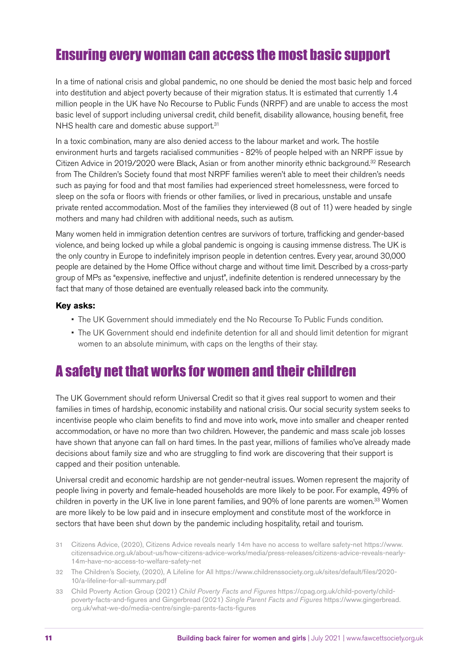# Ensuring every woman can access the most basic support

In a time of national crisis and global pandemic, no one should be denied the most basic help and forced into destitution and abject poverty because of their migration status. It is estimated that currently 1.4 million people in the UK have No Recourse to Public Funds (NRPF) and are unable to access the most basic level of support including universal credit, child benefit, disability allowance, housing benefit, free NHS health care and domestic abuse support.<sup>31</sup>

In a toxic combination, many are also denied access to the labour market and work. The hostile environment hurts and targets racialised communities - 82% of people helped with an NRPF issue by Citizen Advice in 2019/2020 were Black, Asian or from another minority ethnic background.<sup>32</sup> Research from The Children's Society found that most NRPF families weren't able to meet their children's needs such as paying for food and that most families had experienced street homelessness, were forced to sleep on the sofa or floors with friends or other families, or lived in precarious, unstable and unsafe private rented accommodation. Most of the families they interviewed (8 out of 11) were headed by single mothers and many had children with additional needs, such as autism.

Many women held in immigration detention centres are survivors of torture, trafficking and gender-based violence, and being locked up while a global pandemic is ongoing is causing immense distress. The UK is the only country in Europe to indefinitely imprison people in detention centres. Every year, around 30,000 people are detained by the Home Office without charge and without time limit. Described by a cross-party group of MPs as "expensive, ineffective and unjust", indefinite detention is rendered unnecessary by the fact that many of those detained are eventually released back into the community.

#### **Key asks:**

- The UK Government should immediately end the No Recourse To Public Funds condition.
- The UK Government should end indefinite detention for all and should limit detention for migrant women to an absolute minimum, with caps on the lengths of their stay.

### A safety net that works for women and their children

The UK Government should reform Universal Credit so that it gives real support to women and their families in times of hardship, economic instability and national crisis. Our social security system seeks to incentivise people who claim benefits to find and move into work, move into smaller and cheaper rented accommodation, or have no more than two children. However, the pandemic and mass scale job losses have shown that anyone can fall on hard times. In the past year, millions of families who've already made decisions about family size and who are struggling to find work are discovering that their support is capped and their position untenable.

Universal credit and economic hardship are not gender-neutral issues. Women represent the majority of people living in poverty and female-headed households are more likely to be poor. For example, 49% of children in poverty in the UK live in lone parent families, and 90% of lone parents are women.<sup>33</sup> Women are more likely to be low paid and in insecure employment and constitute most of the workforce in sectors that have been shut down by the pandemic including hospitality, retail and tourism.

- 31 Citizens Advice, (2020), Citizens Advice reveals nearly 14m have no access to welfare safety-net [https://www.](https://www.citizensadvice.org.uk/about-us/how-citizens-advice-works/media/press-releases/citizens-advice-reveals-nearly-14m-have-no-access-to-welfare-safety-net/) [citizensadvice.org.uk/about-us/how-citizens-advice-works/media/press-releases/citizens-advice-reveals-nearly-](https://www.citizensadvice.org.uk/about-us/how-citizens-advice-works/media/press-releases/citizens-advice-reveals-nearly-14m-have-no-access-to-welfare-safety-net/)[14m-have-no-access-to-welfare-safety-net](https://www.citizensadvice.org.uk/about-us/how-citizens-advice-works/media/press-releases/citizens-advice-reveals-nearly-14m-have-no-access-to-welfare-safety-net/)
- 32 The Children's Society, (2020), A Lifeline for All [https://www.childrenssociety.org.uk/sites/default/files/2020-](https://www.childrenssociety.org.uk/sites/default/files/2020-10/a-lifeline-for-all-summary.pdf) [10/a-lifeline-for-all-summary.pdf](https://www.childrenssociety.org.uk/sites/default/files/2020-10/a-lifeline-for-all-summary.pdf)
- 33 Child Poverty Action Group (2021) *Child Poverty Facts and Figures* [https://cpag.org.uk/child-poverty/child](https://cpag.org.uk/child-poverty/child-poverty-facts-and-figures)[poverty-facts-and-figures](https://cpag.org.uk/child-poverty/child-poverty-facts-and-figures) and Gingerbread (2021) *Single Parent Facts and Figures* [https://www.gingerbread.](https://www.gingerbread.org.uk/what-we-do/media-centre/single-parents-facts-figures) [org.uk/what-we-do/media-centre/single-parents-facts-figures](https://www.gingerbread.org.uk/what-we-do/media-centre/single-parents-facts-figures)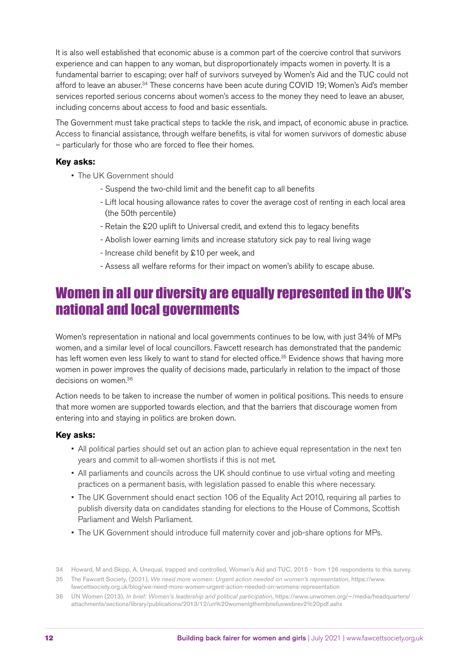It is also well established that economic abuse is a common part of the coercive control that survivors experience and can happen to any woman, but disproportionately impacts women in poverty. It is a fundamental barrier to escaping; over half of survivors surveyed by Women's Aid and the TUC could not afford to leave an abuser.34 These concerns have been acute during COVID 19; Women's Aid's member services reported serious concerns about women's access to the money they need to leave an abuser, including concerns about access to food and basic essentials.

The Government must take practical steps to tackle the risk, and impact, of economic abuse in practice. Access to financial assistance, through welfare benefits, is vital for women survivors of domestic abuse – particularly for those who are forced to flee their homes.

### **Key asks:**

- The UK Government should
	- Suspend the two-child limit and the benefit cap to all benefits
	- Lift local housing allowance rates to cover the average cost of renting in each local area (the 50th percentile)
	- Retain the £20 uplift to Universal credit, and extend this to legacy benefits
	- Abolish lower earning limits and increase statutory sick pay to real living wage
	- Increase child benefit by £10 per week, and
	- Assess all welfare reforms for their impact on women's ability to escape abuse.

### Women in all our diversity are equally represented in the UK's national and local governments

Women's representation in national and local governments continues to be low, with just 34% of MPs women, and a similar level of local councillors. Fawcett research has demonstrated that the pandemic has left women even less likely to want to stand for elected office.<sup>35</sup> Evidence shows that having more women in power improves the quality of decisions made, particularly in relation to the impact of those decisions on women.<sup>36</sup>

Action needs to be taken to increase the number of women in political positions. This needs to ensure that more women are supported towards election, and that the barriers that discourage women from entering into and staying in politics are broken down.

### **Key asks:**

- All political parties should set out an action plan to achieve equal representation in the next ten years and commit to all-women shortlists if this is not met.
- All parliaments and councils across the UK should continue to use virtual voting and meeting practices on a permanent basis, with legislation passed to enable this where necessary.
- The UK Government should enact section 106 of the Equality Act 2010, requiring all parties to publish diversity data on candidates standing for elections to the House of Commons, Scottish Parliament and Welsh Parliament.
- The UK Government should introduce full maternity cover and job-share options for MPs.

<sup>34</sup> Howard, M and Skipp, A, Unequal, trapped and controlled, Women's Aid and TUC, 2015 - from 126 respondents to this survey.

<sup>35</sup> The Fawcett Society, (2021), *We need more women: Urgent action needed on women's representation*, [https://www.](https://www.fawcettsociety.org.uk/blog/we-need-more-women-urgent-action-needed-on-womens-representation) [fawcettsociety.org.uk/blog/we-need-more-women-urgent-action-needed-on-womens-representation](https://www.fawcettsociety.org.uk/blog/we-need-more-women-urgent-action-needed-on-womens-representation)

<sup>36</sup> UN Women (2013), *In brief: Women's leadership and political participation*, [https://www.unwomen.org/~/media/headquarters/](https://www.unwomen.org/~/media/headquarters/attachments/sections/library/publications/2013/12/un%20womenlgthembriefuswebrev2%20pdf.ashx) [attachments/sections/library/publications/2013/12/un%20womenlgthembriefuswebrev2%20pdf.ashx](https://www.unwomen.org/~/media/headquarters/attachments/sections/library/publications/2013/12/un%20womenlgthembriefuswebrev2%20pdf.ashx)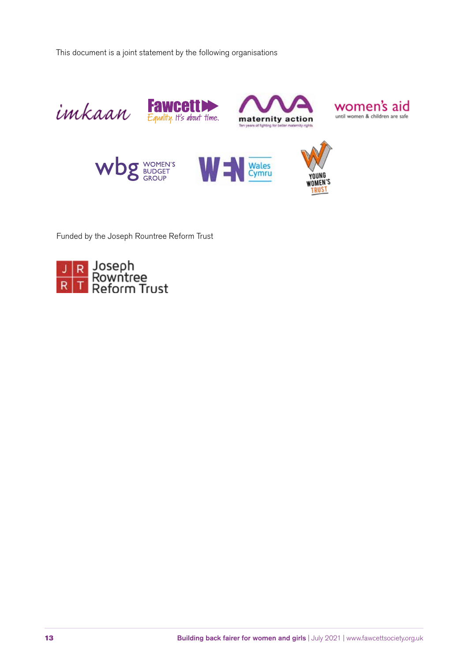This document is a joint statement by the following organisations



Funded by the Joseph Rountree Reform Trust